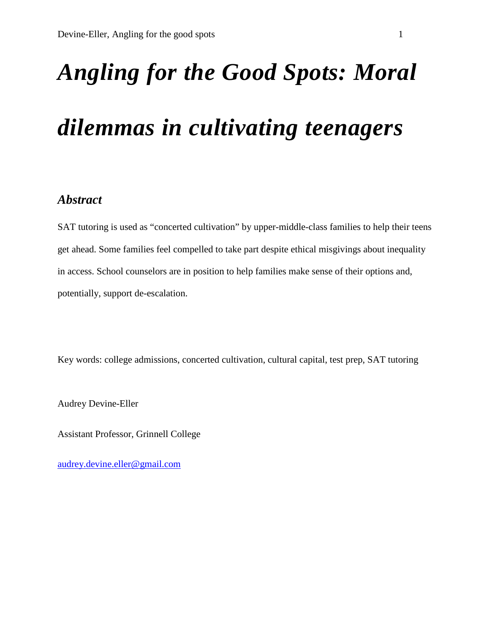# *Angling for the Good Spots: Moral*

## *dilemmas in cultivating teenagers*

### *Abstract*

SAT tutoring is used as "concerted cultivation" by upper-middle-class families to help their teens get ahead. Some families feel compelled to take part despite ethical misgivings about inequality in access. School counselors are in position to help families make sense of their options and, potentially, support de-escalation.

Key words: college admissions, concerted cultivation, cultural capital, test prep, SAT tutoring

Audrey Devine-Eller

Assistant Professor, Grinnell College

[audrey.devine.eller@gmail.com](mailto:audrey.devine.eller@gmail.com)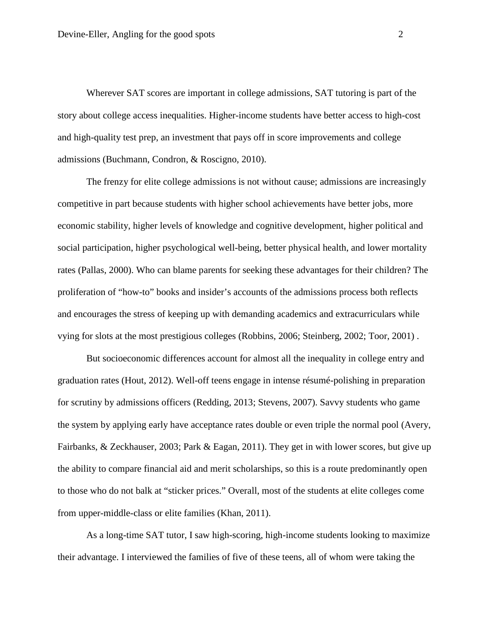Wherever SAT scores are important in college admissions, SAT tutoring is part of the story about college access inequalities. Higher-income students have better access to high-cost and high-quality test prep, an investment that pays off in score improvements and college admissions (Buchmann, Condron, & Roscigno, 2010).

The frenzy for elite college admissions is not without cause; admissions are increasingly competitive in part because students with higher school achievements have better jobs, more economic stability, higher levels of knowledge and cognitive development, higher political and social participation, higher psychological well-being, better physical health, and lower mortality rates (Pallas, 2000). Who can blame parents for seeking these advantages for their children? The proliferation of "how-to" books and insider's accounts of the admissions process both reflects and encourages the stress of keeping up with demanding academics and extracurriculars while vying for slots at the most prestigious colleges (Robbins, 2006; Steinberg, 2002; Toor, 2001) .

But socioeconomic differences account for almost all the inequality in college entry and graduation rates (Hout, 2012). Well-off teens engage in intense résumé-polishing in preparation for scrutiny by admissions officers (Redding, 2013; Stevens, 2007). Savvy students who game the system by applying early have acceptance rates double or even triple the normal pool (Avery, Fairbanks, & Zeckhauser, 2003; Park & Eagan, 2011). They get in with lower scores, but give up the ability to compare financial aid and merit scholarships, so this is a route predominantly open to those who do not balk at "sticker prices." Overall, most of the students at elite colleges come from upper-middle-class or elite families (Khan, 2011).

As a long-time SAT tutor, I saw high-scoring, high-income students looking to maximize their advantage. I interviewed the families of five of these teens, all of whom were taking the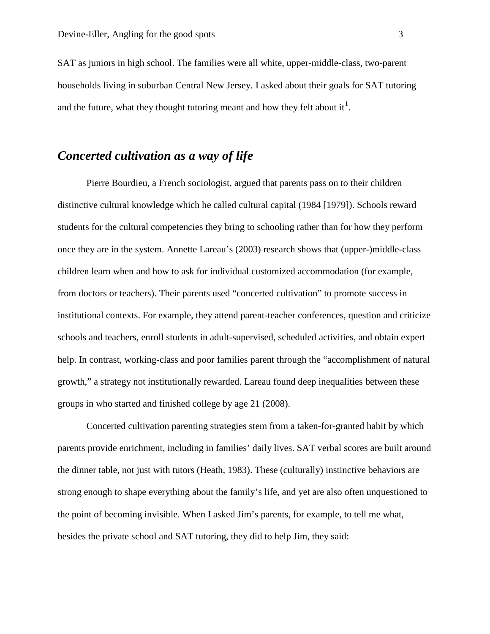SAT as juniors in high school. The families were all white, upper-middle-class, two-parent households living in suburban Central New Jersey. I asked about their goals for SAT tutoring and the future, what they thought tutoring meant and how they felt about it<sup>[1](#page-11-0)</sup>.

### *Concerted cultivation as a way of life*

Pierre Bourdieu, a French sociologist, argued that parents pass on to their children distinctive cultural knowledge which he called cultural capital (1984 [1979]). Schools reward students for the cultural competencies they bring to schooling rather than for how they perform once they are in the system. Annette Lareau's (2003) research shows that (upper-)middle-class children learn when and how to ask for individual customized accommodation (for example, from doctors or teachers). Their parents used "concerted cultivation" to promote success in institutional contexts. For example, they attend parent-teacher conferences, question and criticize schools and teachers, enroll students in adult-supervised, scheduled activities, and obtain expert help. In contrast, working-class and poor families parent through the "accomplishment of natural growth," a strategy not institutionally rewarded. Lareau found deep inequalities between these groups in who started and finished college by age 21 (2008).

Concerted cultivation parenting strategies stem from a taken-for-granted habit by which parents provide enrichment, including in families' daily lives. SAT verbal scores are built around the dinner table, not just with tutors (Heath, 1983). These (culturally) instinctive behaviors are strong enough to shape everything about the family's life, and yet are also often unquestioned to the point of becoming invisible. When I asked Jim's parents, for example, to tell me what, besides the private school and SAT tutoring, they did to help Jim, they said: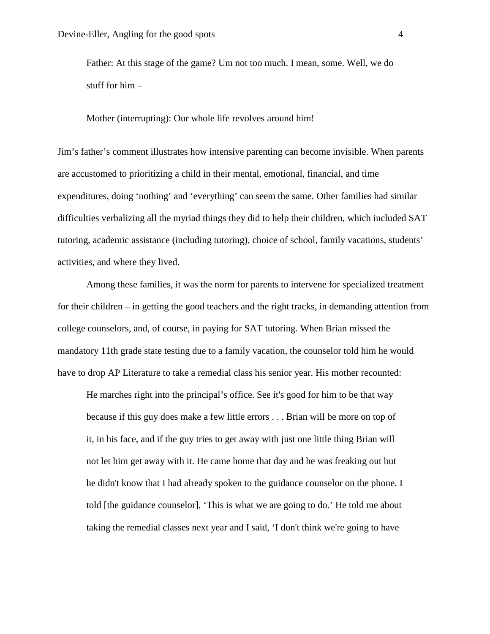Father: At this stage of the game? Um not too much. I mean, some. Well, we do stuff for him –

Mother (interrupting): Our whole life revolves around him!

Jim's father's comment illustrates how intensive parenting can become invisible. When parents are accustomed to prioritizing a child in their mental, emotional, financial, and time expenditures, doing 'nothing' and 'everything' can seem the same. Other families had similar difficulties verbalizing all the myriad things they did to help their children, which included SAT tutoring, academic assistance (including tutoring), choice of school, family vacations, students' activities, and where they lived.

Among these families, it was the norm for parents to intervene for specialized treatment for their children – in getting the good teachers and the right tracks, in demanding attention from college counselors, and, of course, in paying for SAT tutoring. When Brian missed the mandatory 11th grade state testing due to a family vacation, the counselor told him he would have to drop AP Literature to take a remedial class his senior year. His mother recounted:

He marches right into the principal's office. See it's good for him to be that way because if this guy does make a few little errors . . . Brian will be more on top of it, in his face, and if the guy tries to get away with just one little thing Brian will not let him get away with it. He came home that day and he was freaking out but he didn't know that I had already spoken to the guidance counselor on the phone. I told [the guidance counselor], 'This is what we are going to do.' He told me about taking the remedial classes next year and I said, 'I don't think we're going to have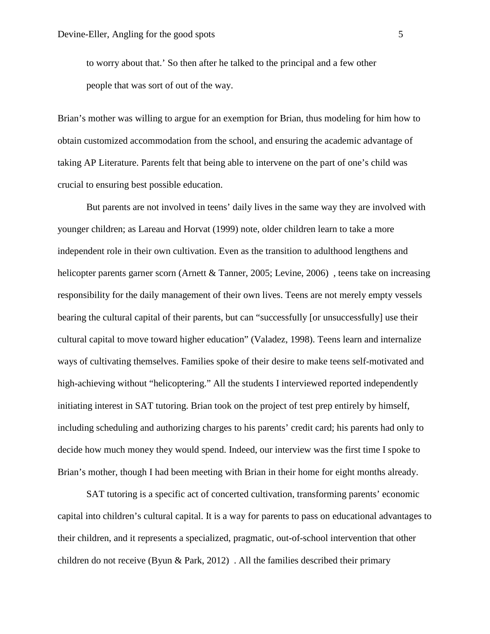to worry about that.' So then after he talked to the principal and a few other people that was sort of out of the way.

Brian's mother was willing to argue for an exemption for Brian, thus modeling for him how to obtain customized accommodation from the school, and ensuring the academic advantage of taking AP Literature. Parents felt that being able to intervene on the part of one's child was crucial to ensuring best possible education.

But parents are not involved in teens' daily lives in the same way they are involved with younger children; as Lareau and Horvat (1999) note, older children learn to take a more independent role in their own cultivation. Even as the transition to adulthood lengthens and helicopter parents garner scorn (Arnett & Tanner, 2005; Levine, 2006), teens take on increasing responsibility for the daily management of their own lives. Teens are not merely empty vessels bearing the cultural capital of their parents, but can "successfully [or unsuccessfully] use their cultural capital to move toward higher education" (Valadez, 1998). Teens learn and internalize ways of cultivating themselves. Families spoke of their desire to make teens self-motivated and high-achieving without "helicoptering." All the students I interviewed reported independently initiating interest in SAT tutoring. Brian took on the project of test prep entirely by himself, including scheduling and authorizing charges to his parents' credit card; his parents had only to decide how much money they would spend. Indeed, our interview was the first time I spoke to Brian's mother, though I had been meeting with Brian in their home for eight months already.

SAT tutoring is a specific act of concerted cultivation, transforming parents' economic capital into children's cultural capital. It is a way for parents to pass on educational advantages to their children, and it represents a specialized, pragmatic, out-of-school intervention that other children do not receive (Byun  $\&$  Park, 2012). All the families described their primary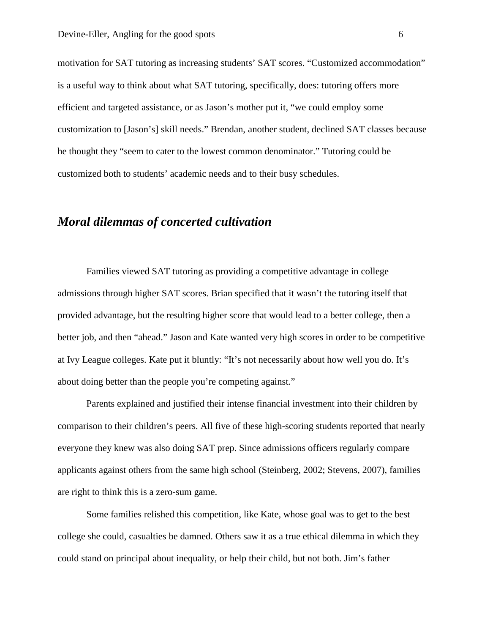motivation for SAT tutoring as increasing students' SAT scores. "Customized accommodation" is a useful way to think about what SAT tutoring, specifically, does: tutoring offers more efficient and targeted assistance, or as Jason's mother put it, "we could employ some customization to [Jason's] skill needs." Brendan, another student, declined SAT classes because he thought they "seem to cater to the lowest common denominator." Tutoring could be customized both to students' academic needs and to their busy schedules.

### *Moral dilemmas of concerted cultivation*

Families viewed SAT tutoring as providing a competitive advantage in college admissions through higher SAT scores. Brian specified that it wasn't the tutoring itself that provided advantage, but the resulting higher score that would lead to a better college, then a better job, and then "ahead." Jason and Kate wanted very high scores in order to be competitive at Ivy League colleges. Kate put it bluntly: "It's not necessarily about how well you do. It's about doing better than the people you're competing against."

Parents explained and justified their intense financial investment into their children by comparison to their children's peers. All five of these high-scoring students reported that nearly everyone they knew was also doing SAT prep. Since admissions officers regularly compare applicants against others from the same high school (Steinberg, 2002; Stevens, 2007), families are right to think this is a zero-sum game.

Some families relished this competition, like Kate, whose goal was to get to the best college she could, casualties be damned. Others saw it as a true ethical dilemma in which they could stand on principal about inequality, or help their child, but not both. Jim's father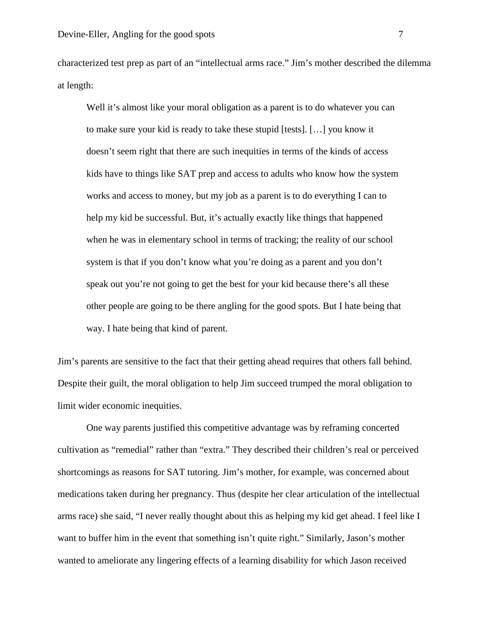characterized test prep as part of an "intellectual arms race." Jim's mother described the dilemma at length:

Well it's almost like your moral obligation as a parent is to do whatever you can to make sure your kid is ready to take these stupid [tests]. […] you know it doesn't seem right that there are such inequities in terms of the kinds of access kids have to things like SAT prep and access to adults who know how the system works and access to money, but my job as a parent is to do everything I can to help my kid be successful. But, it's actually exactly like things that happened when he was in elementary school in terms of tracking; the reality of our school system is that if you don't know what you're doing as a parent and you don't speak out you're not going to get the best for your kid because there's all these other people are going to be there angling for the good spots. But I hate being that way. I hate being that kind of parent.

Jim's parents are sensitive to the fact that their getting ahead requires that others fall behind. Despite their guilt, the moral obligation to help Jim succeed trumped the moral obligation to limit wider economic inequities.

One way parents justified this competitive advantage was by reframing concerted cultivation as "remedial" rather than "extra." They described their children's real or perceived shortcomings as reasons for SAT tutoring. Jim's mother, for example, was concerned about medications taken during her pregnancy. Thus (despite her clear articulation of the intellectual arms race) she said, "I never really thought about this as helping my kid get ahead. I feel like I want to buffer him in the event that something isn't quite right." Similarly, Jason's mother wanted to ameliorate any lingering effects of a learning disability for which Jason received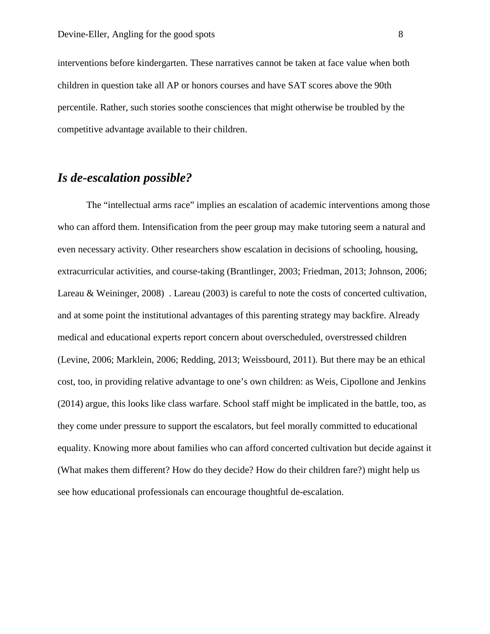interventions before kindergarten. These narratives cannot be taken at face value when both children in question take all AP or honors courses and have SAT scores above the 90th percentile. Rather, such stories soothe consciences that might otherwise be troubled by the competitive advantage available to their children.

#### *Is de-escalation possible?*

The "intellectual arms race" implies an escalation of academic interventions among those who can afford them. Intensification from the peer group may make tutoring seem a natural and even necessary activity. Other researchers show escalation in decisions of schooling, housing, extracurricular activities, and course-taking (Brantlinger, 2003; Friedman, 2013; Johnson, 2006; Lareau & Weininger, 2008) . Lareau (2003) is careful to note the costs of concerted cultivation, and at some point the institutional advantages of this parenting strategy may backfire. Already medical and educational experts report concern about overscheduled, overstressed children (Levine, 2006; Marklein, 2006; Redding, 2013; Weissbourd, 2011). But there may be an ethical cost, too, in providing relative advantage to one's own children: as Weis, Cipollone and Jenkins (2014) argue, this looks like class warfare. School staff might be implicated in the battle, too, as they come under pressure to support the escalators, but feel morally committed to educational equality. Knowing more about families who can afford concerted cultivation but decide against it (What makes them different? How do they decide? How do their children fare?) might help us see how educational professionals can encourage thoughtful de-escalation.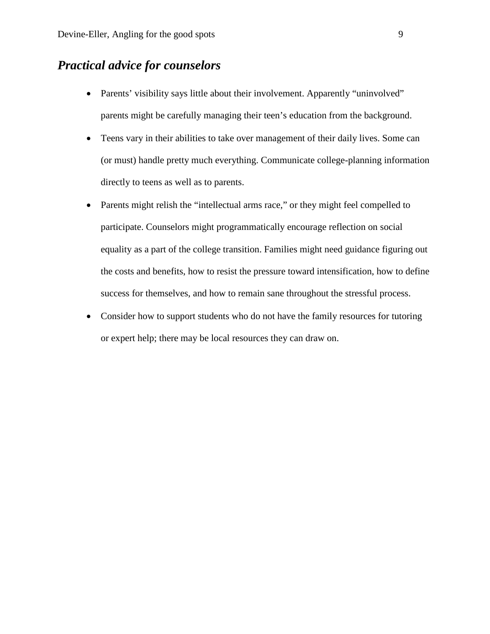### *Practical advice for counselors*

- Parents' visibility says little about their involvement. Apparently "uninvolved" parents might be carefully managing their teen's education from the background.
- Teens vary in their abilities to take over management of their daily lives. Some can (or must) handle pretty much everything. Communicate college-planning information directly to teens as well as to parents.
- Parents might relish the "intellectual arms race," or they might feel compelled to participate. Counselors might programmatically encourage reflection on social equality as a part of the college transition. Families might need guidance figuring out the costs and benefits, how to resist the pressure toward intensification, how to define success for themselves, and how to remain sane throughout the stressful process.
- Consider how to support students who do not have the family resources for tutoring or expert help; there may be local resources they can draw on.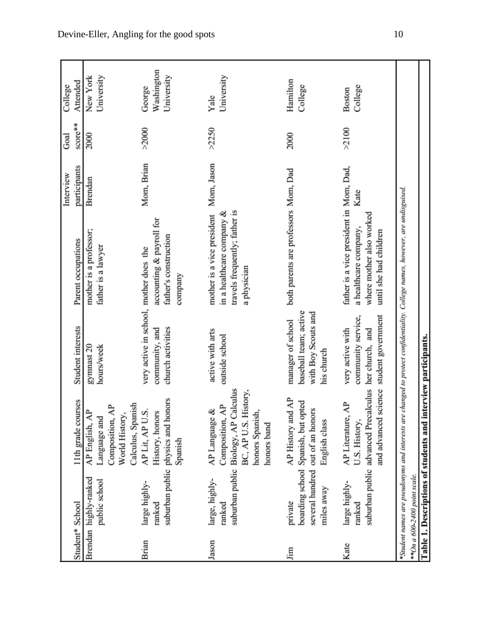|                 |                                        |                                                                                                                                                |                                                            |                                                                                                                              | Interview    | Goal    | College                  |
|-----------------|----------------------------------------|------------------------------------------------------------------------------------------------------------------------------------------------|------------------------------------------------------------|------------------------------------------------------------------------------------------------------------------------------|--------------|---------|--------------------------|
| Student* School |                                        | 1th grade courses                                                                                                                              | Student interests                                          | Parent occupations                                                                                                           | participants | score** | Attended                 |
|                 | Brendan highly-ranked<br>public school | AP English, AP<br>Language and                                                                                                                 | gymnast 20<br>hours/week                                   | mother is a professor;<br>father is a lawyer                                                                                 | Brendan      | 2000    | University<br>New York   |
|                 |                                        | Calculus, Spanish<br>$\mathbf{A}^{\mathbf{P}}$<br>World History,<br>Composition,                                                               |                                                            |                                                                                                                              |              |         |                          |
| Brian           | large highly-                          | AP Lit, AP U.S.                                                                                                                                | very active in school, mother does the                     |                                                                                                                              | Mom, Brian   | >2000   | George                   |
|                 | ranked                                 | suburban public physics and honors<br>History, honors                                                                                          | church activities<br>community, and                        | accounting & payroll for<br>father's construction                                                                            |              |         | Washington<br>University |
|                 |                                        | Spanish                                                                                                                                        |                                                            | company                                                                                                                      |              |         |                          |
| Jason           | large, highly-                         | ళ<br>AP Language                                                                                                                               | active with arts                                           | mother is a vice president                                                                                                   | Mom, Jason   | >2250   | Yale                     |
|                 | ranked                                 | suburban public Biology, AP Calculus<br>History,<br>$\mathbf{A}^{\mathbf{p}}$<br>honors Spanish,<br>Composition,<br>BC, AP U.S.<br>honors band | outside school                                             | travels frequently; father is<br>in a healthcare company $\&$<br>a physician                                                 |              |         | University               |
| Jim             | private                                | AP History and AP                                                                                                                              | manager of school                                          | both parents are professors Mom, Dad                                                                                         |              | 2000    | Hamilton                 |
|                 | miles away                             | boarding school Spanish, but opted<br>several hundred out of an honors<br>English class                                                        | baseball team; active<br>with Boy Scouts and<br>his church |                                                                                                                              |              |         | College                  |
| Kate            | large highly-<br>ranked                | AP Literature, AP<br>U.S. History,                                                                                                             | community service,<br>very active with                     | father is a vice president in Mom, Dad,<br>a healthcare company,                                                             | Kate         | >2100   | College<br><b>Boston</b> |
|                 |                                        | suburban public advanced Precalculus her church, and<br>science<br>and advanced                                                                | student government                                         | where mother also worked<br>until she had children                                                                           |              |         |                          |
|                 |                                        |                                                                                                                                                |                                                            | *Student names are pseudonyms and interests are changed to protect confidentiality. College names, however, are undisguised. |              |         |                          |
|                 | **On a 600-2400 point scale.           |                                                                                                                                                |                                                            |                                                                                                                              |              |         |                          |
|                 | Table 1. Descriptions of students and  |                                                                                                                                                | interview participants.                                    |                                                                                                                              |              |         |                          |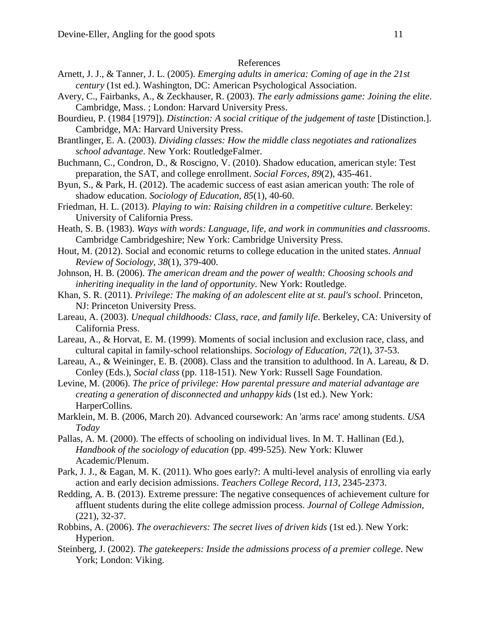#### References

- Arnett, J. J., & Tanner, J. L. (2005). *Emerging adults in america: Coming of age in the 21st century* (1st ed.). Washington, DC: American Psychological Association.
- Avery, C., Fairbanks, A., & Zeckhauser, R. (2003). *The early admissions game: Joining the elite*. Cambridge, Mass. ; London: Harvard University Press.
- Bourdieu, P. (1984 [1979]). *Distinction: A social critique of the judgement of taste* [Distinction.]. Cambridge, MA: Harvard University Press.
- Brantlinger, E. A. (2003). *Dividing classes: How the middle class negotiates and rationalizes school advantage*. New York: RoutledgeFalmer.
- Buchmann, C., Condron, D., & Roscigno, V. (2010). Shadow education, american style: Test preparation, the SAT, and college enrollment. *Social Forces, 89*(2), 435-461.
- Byun, S., & Park, H. (2012). The academic success of east asian american youth: The role of shadow education. *Sociology of Education, 85*(1), 40-60.
- Friedman, H. L. (2013). *Playing to win: Raising children in a competitive culture*. Berkeley: University of California Press.
- Heath, S. B. (1983). *Ways with words: Language, life, and work in communities and classrooms*. Cambridge Cambridgeshire; New York: Cambridge University Press.
- Hout, M. (2012). Social and economic returns to college education in the united states. *Annual Review of Sociology, 38*(1), 379-400.
- Johnson, H. B. (2006). *The american dream and the power of wealth: Choosing schools and inheriting inequality in the land of opportunity*. New York: Routledge.
- Khan, S. R. (2011). *Privilege: The making of an adolescent elite at st. paul's school*. Princeton, NJ: Princeton University Press.
- Lareau, A. (2003). *Unequal childhoods: Class, race, and family life*. Berkeley, CA: University of California Press.
- Lareau, A., & Horvat, E. M. (1999). Moments of social inclusion and exclusion race, class, and cultural capital in family-school relationships. *Sociology of Education, 72*(1), 37-53.
- Lareau, A., & Weininger, E. B. (2008). Class and the transition to adulthood. In A. Lareau, & D. Conley (Eds.), *Social class* (pp. 118-151). New York: Russell Sage Foundation.
- Levine, M. (2006). *The price of privilege: How parental pressure and material advantage are creating a generation of disconnected and unhappy kids* (1st ed.). New York: HarperCollins.
- Marklein, M. B. (2006, March 20). Advanced coursework: An 'arms race' among students. *USA Today*
- Pallas, A. M. (2000). The effects of schooling on individual lives. In M. T. Hallinan (Ed.), *Handbook of the sociology of education* (pp. 499-525). New York: Kluwer Academic/Plenum.
- Park, J. J., & Eagan, M. K. (2011). Who goes early?: A multi-level analysis of enrolling via early action and early decision admissions. *Teachers College Record, 113*, 2345-2373.
- Redding, A. B. (2013). Extreme pressure: The negative consequences of achievement culture for affluent students during the elite college admission process. *Journal of College Admission,*  (221), 32-37.
- Robbins, A. (2006). *The overachievers: The secret lives of driven kids* (1st ed.). New York: Hyperion.
- Steinberg, J. (2002). *The gatekeepers: Inside the admissions process of a premier college*. New York; London: Viking.